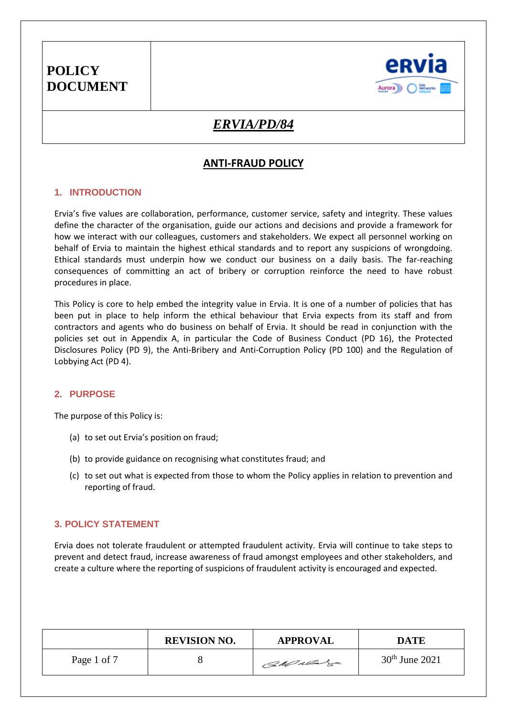

## *ERVIA/PD/84*

## **ANTI-FRAUD POLICY**

### **1. INTRODUCTION**

Ervia's five values are collaboration, performance, customer service, safety and integrity. These values define the character of the organisation, guide our actions and decisions and provide a framework for how we interact with our colleagues, customers and stakeholders. We expect all personnel working on behalf of Ervia to maintain the highest ethical standards and to report any suspicions of wrongdoing. Ethical standards must underpin how we conduct our business on a daily basis. The far-reaching consequences of committing an act of bribery or corruption reinforce the need to have robust procedures in place.

This Policy is core to help embed the integrity value in Ervia. It is one of a number of policies that has been put in place to help inform the ethical behaviour that Ervia expects from its staff and from contractors and agents who do business on behalf of Ervia. It should be read in conjunction with the policies set out in Appendix A, in particular the Code of Business Conduct (PD 16), the Protected Disclosures Policy (PD 9), the Anti-Bribery and Anti-Corruption Policy (PD 100) and the Regulation of Lobbying Act (PD 4).

## **2. PURPOSE**

The purpose of this Policy is:

- (a) to set out Ervia's position on fraud;
- (b) to provide guidance on recognising what constitutes fraud; and
- (c) to set out what is expected from those to whom the Policy applies in relation to prevention and reporting of fraud.

### **3. POLICY STATEMENT**

Ervia does not tolerate fraudulent or attempted fraudulent activity. Ervia will continue to take steps to prevent and detect fraud, increase awareness of fraud amongst employees and other stakeholders, and create a culture where the reporting of suspicions of fraudulent activity is encouraged and expected.

|             | <b>REVISION NO.</b> | <b>APPROVAL</b> | <b>DATE</b>      |
|-------------|---------------------|-----------------|------------------|
| Page 1 of 7 |                     | CaMulas         | $30th$ June 2021 |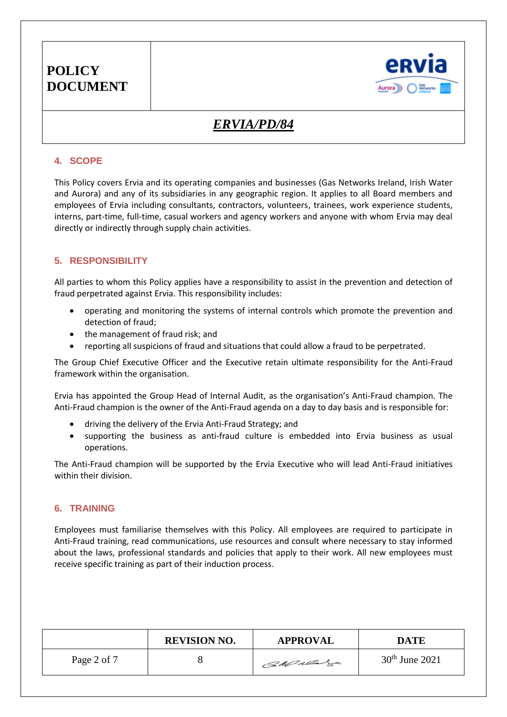

# *ERVIA/PD/84*

#### **4. SCOPE**

This Policy covers Ervia and its operating companies and businesses (Gas Networks Ireland, Irish Water and Aurora) and any of its subsidiaries in any geographic region. It applies to all Board members and employees of Ervia including consultants, contractors, volunteers, trainees, work experience students, interns, part-time, full-time, casual workers and agency workers and anyone with whom Ervia may deal directly or indirectly through supply chain activities.

### **5. RESPONSIBILITY**

All parties to whom this Policy applies have a responsibility to assist in the prevention and detection of fraud perpetrated against Ervia. This responsibility includes:

- operating and monitoring the systems of internal controls which promote the prevention and detection of fraud;
- the management of fraud risk; and
- reporting all suspicions of fraud and situations that could allow a fraud to be perpetrated.

The Group Chief Executive Officer and the Executive retain ultimate responsibility for the Anti-Fraud framework within the organisation.

Ervia has appointed the Group Head of Internal Audit, as the organisation's Anti-Fraud champion. The Anti-Fraud champion is the owner of the Anti-Fraud agenda on a day to day basis and is responsible for:

- driving the delivery of the Ervia Anti-Fraud Strategy; and
- supporting the business as anti-fraud culture is embedded into Ervia business as usual operations.

The Anti-Fraud champion will be supported by the Ervia Executive who will lead Anti-Fraud initiatives within their division.

### **6. TRAINING**

Employees must familiarise themselves with this Policy. All employees are required to participate in Anti-Fraud training, read communications, use resources and consult where necessary to stay informed about the laws, professional standards and policies that apply to their work. All new employees must receive specific training as part of their induction process.

|             | <b>REVISION NO.</b> | <b>APPROVAL</b> | <b>DATE</b>      |
|-------------|---------------------|-----------------|------------------|
| Page 2 of 7 |                     | CaMulas         | $30th$ June 2021 |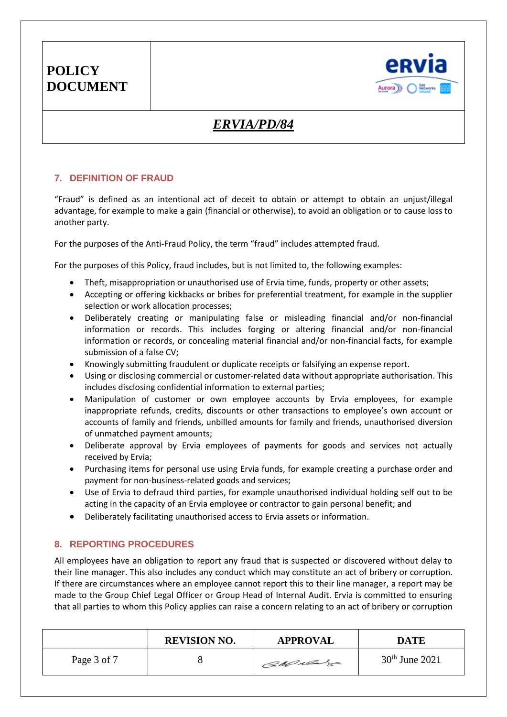

# *ERVIA/PD/84*

### **7. DEFINITION OF FRAUD**

"Fraud" is defined as an intentional act of deceit to obtain or attempt to obtain an unjust/illegal advantage, for example to make a gain (financial or otherwise), to avoid an obligation or to cause loss to another party.

For the purposes of the Anti-Fraud Policy, the term "fraud" includes attempted fraud.

For the purposes of this Policy, fraud includes, but is not limited to, the following examples:

- Theft, misappropriation or unauthorised use of Ervia time, funds, property or other assets;
- Accepting or offering kickbacks or bribes for preferential treatment, for example in the supplier selection or work allocation processes;
- Deliberately creating or manipulating false or misleading financial and/or non-financial information or records. This includes forging or altering financial and/or non-financial information or records, or concealing material financial and/or non-financial facts, for example submission of a false CV;
- Knowingly submitting fraudulent or duplicate receipts or falsifying an expense report.
- Using or disclosing commercial or customer-related data without appropriate authorisation. This includes disclosing confidential information to external parties;
- Manipulation of customer or own employee accounts by Ervia employees, for example inappropriate refunds, credits, discounts or other transactions to employee's own account or accounts of family and friends, unbilled amounts for family and friends, unauthorised diversion of unmatched payment amounts;
- Deliberate approval by Ervia employees of payments for goods and services not actually received by Ervia;
- Purchasing items for personal use using Ervia funds, for example creating a purchase order and payment for non-business-related goods and services;
- Use of Ervia to defraud third parties, for example unauthorised individual holding self out to be acting in the capacity of an Ervia employee or contractor to gain personal benefit; and
- Deliberately facilitating unauthorised access to Ervia assets or information.

## **8. REPORTING PROCEDURES**

All employees have an obligation to report any fraud that is suspected or discovered without delay to their line manager. This also includes any conduct which may constitute an act of bribery or corruption. If there are circumstances where an employee cannot report this to their line manager, a report may be made to the Group Chief Legal Officer or Group Head of Internal Audit. Ervia is committed to ensuring that all parties to whom this Policy applies can raise a concern relating to an act of bribery or corruption

|             | <b>REVISION NO.</b> | <b>APPROVAL</b> | <b>DATE</b>      |
|-------------|---------------------|-----------------|------------------|
| Page 3 of 7 |                     | CaMulas         | $30th$ June 2021 |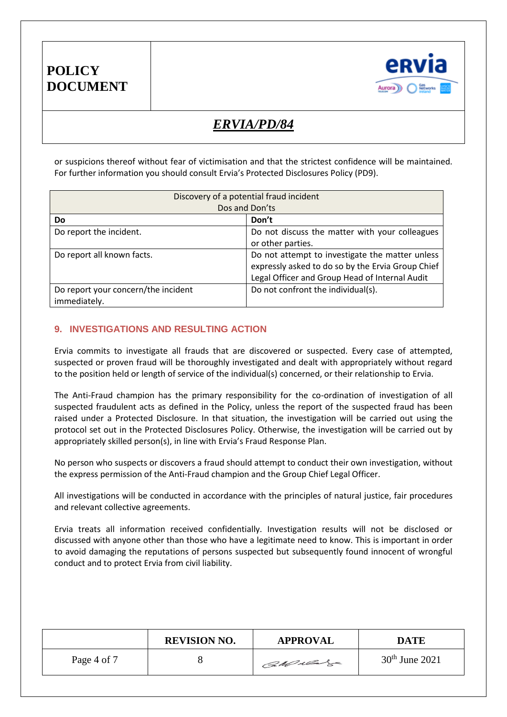

# *ERVIA/PD/84*

or suspicions thereof without fear of victimisation and that the strictest confidence will be maintained. For further information you should consult Ervia's Protected Disclosures Policy (PD9).

| Discovery of a potential fraud incident |                                                   |  |  |
|-----------------------------------------|---------------------------------------------------|--|--|
| Dos and Don'ts                          |                                                   |  |  |
| Do                                      | Don't                                             |  |  |
| Do report the incident.                 | Do not discuss the matter with your colleagues    |  |  |
|                                         | or other parties.                                 |  |  |
| Do report all known facts.              | Do not attempt to investigate the matter unless   |  |  |
|                                         | expressly asked to do so by the Ervia Group Chief |  |  |
|                                         | Legal Officer and Group Head of Internal Audit    |  |  |
| Do report your concern/the incident     | Do not confront the individual(s).                |  |  |
| immediately.                            |                                                   |  |  |

#### **9. INVESTIGATIONS AND RESULTING ACTION**

Ervia commits to investigate all frauds that are discovered or suspected. Every case of attempted, suspected or proven fraud will be thoroughly investigated and dealt with appropriately without regard to the position held or length of service of the individual(s) concerned, or their relationship to Ervia.

The Anti-Fraud champion has the primary responsibility for the co-ordination of investigation of all suspected fraudulent acts as defined in the Policy, unless the report of the suspected fraud has been raised under a Protected Disclosure. In that situation, the investigation will be carried out using the protocol set out in the Protected Disclosures Policy. Otherwise, the investigation will be carried out by appropriately skilled person(s), in line with Ervia's Fraud Response Plan.

No person who suspects or discovers a fraud should attempt to conduct their own investigation, without the express permission of the Anti-Fraud champion and the Group Chief Legal Officer.

All investigations will be conducted in accordance with the principles of natural justice, fair procedures and relevant collective agreements.

Ervia treats all information received confidentially. Investigation results will not be disclosed or discussed with anyone other than those who have a legitimate need to know. This is important in order to avoid damaging the reputations of persons suspected but subsequently found innocent of wrongful conduct and to protect Ervia from civil liability.

|             | <b>REVISION NO.</b> | <b>APPROVAL</b> | <b>DATE</b>      |
|-------------|---------------------|-----------------|------------------|
| Page 4 of 7 |                     | CaMulas         | $30th$ June 2021 |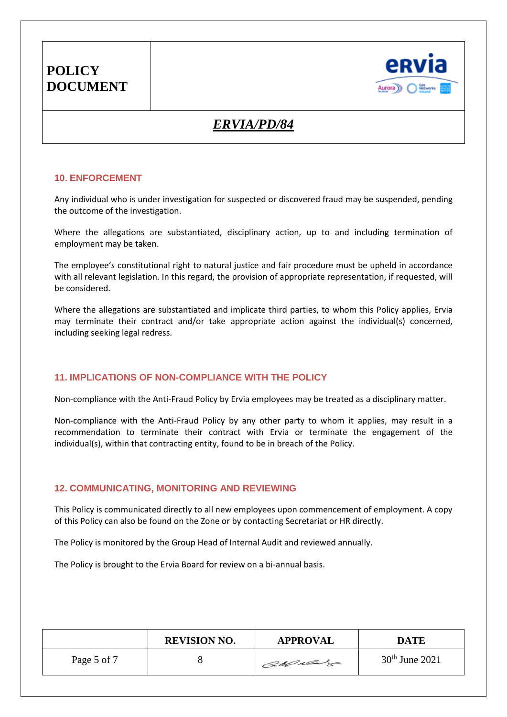

# *ERVIA/PD/84*

#### **10. ENFORCEMENT**

Any individual who is under investigation for suspected or discovered fraud may be suspended, pending the outcome of the investigation.

Where the allegations are substantiated, disciplinary action, up to and including termination of employment may be taken.

The employee's constitutional right to natural justice and fair procedure must be upheld in accordance with all relevant legislation. In this regard, the provision of appropriate representation, if requested, will be considered.

Where the allegations are substantiated and implicate third parties, to whom this Policy applies, Ervia may terminate their contract and/or take appropriate action against the individual(s) concerned, including seeking legal redress.

#### **11. IMPLICATIONS OF NON-COMPLIANCE WITH THE POLICY**

Non-compliance with the Anti-Fraud Policy by Ervia employees may be treated as a disciplinary matter.

Non-compliance with the Anti-Fraud Policy by any other party to whom it applies, may result in a recommendation to terminate their contract with Ervia or terminate the engagement of the individual(s), within that contracting entity, found to be in breach of the Policy.

#### **12. COMMUNICATING, MONITORING AND REVIEWING**

This Policy is communicated directly to all new employees upon commencement of employment. A copy of this Policy can also be found on the Zone or by contacting Secretariat or HR directly.

The Policy is monitored by the Group Head of Internal Audit and reviewed annually.

The Policy is brought to the Ervia Board for review on a bi-annual basis.

|             | <b>REVISION NO.</b> | <b>APPROVAL</b> | <b>DATE</b>      |
|-------------|---------------------|-----------------|------------------|
| Page 5 of 7 |                     | CaMulas         | $30th$ June 2021 |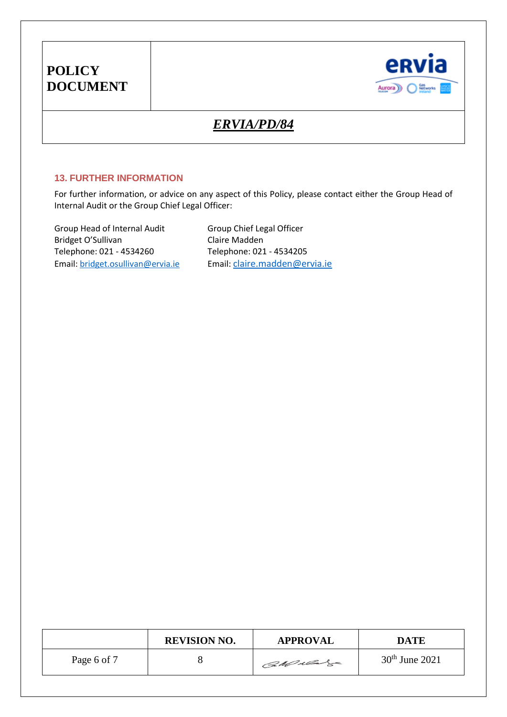

# *ERVIA/PD/84*

#### **13. FURTHER INFORMATION**

For further information, or advice on any aspect of this Policy, please contact either the Group Head of Internal Audit or the Group Chief Legal Officer:

Group Head of Internal Audit Group Chief Legal Officer<br>Bridget O'Sullivan Claire Madden Bridget O'Sullivan Telephone: 021 - 4534260 Telephone: 021 - 4534205 Email[: bridget.osullivan@ervia.ie](mailto:bridget.osullivan@ervia.ie) Email: [claire.madden@ervia.ie](mailto:claire.madden@ervia.ie)

|             | <b>REVISION NO.</b> | <b>APPROVAL</b> | <b>DATE</b>      |
|-------------|---------------------|-----------------|------------------|
| Page 6 of 7 |                     | GM near         | $30th$ June 2021 |